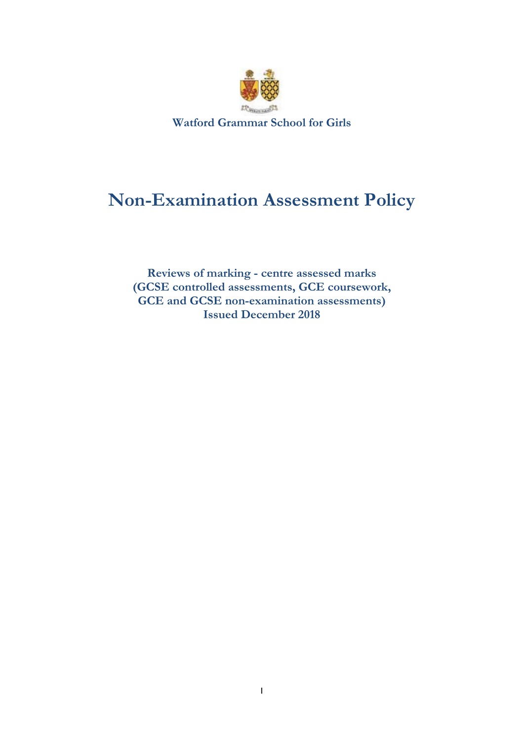

# **Non-Examination Assessment Policy**

**Reviews of marking - centre assessed marks (GCSE controlled assessments, GCE coursework, GCE and GCSE non-examination assessments) Issued December 2018**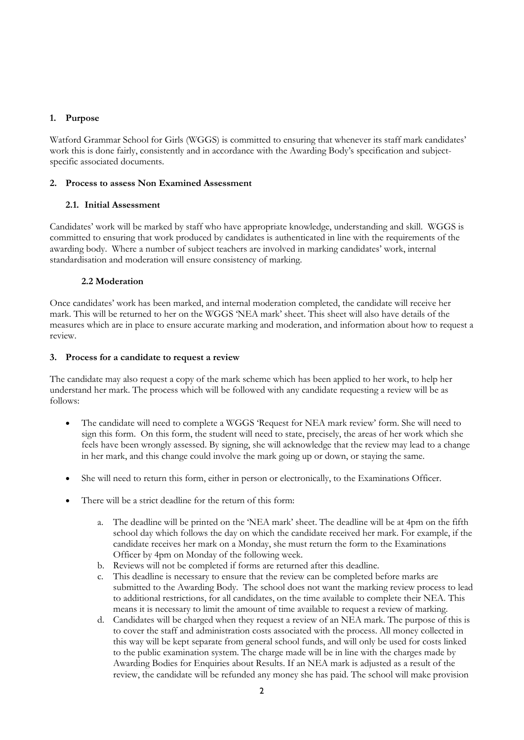## **1. Purpose**

Watford Grammar School for Girls (WGGS) is committed to ensuring that whenever its staff mark candidates' work this is done fairly, consistently and in accordance with the Awarding Body's specification and subjectspecific associated documents.

## **2. Process to assess Non Examined Assessment**

## **2.1. Initial Assessment**

Candidates' work will be marked by staff who have appropriate knowledge, understanding and skill. WGGS is committed to ensuring that work produced by candidates is authenticated in line with the requirements of the awarding body. Where a number of subject teachers are involved in marking candidates' work, internal standardisation and moderation will ensure consistency of marking.

## **2.2 Moderation**

Once candidates' work has been marked, and internal moderation completed, the candidate will receive her mark. This will be returned to her on the WGGS 'NEA mark' sheet. This sheet will also have details of the measures which are in place to ensure accurate marking and moderation, and information about how to request a review.

#### **3. Process for a candidate to request a review**

The candidate may also request a copy of the mark scheme which has been applied to her work, to help her understand her mark. The process which will be followed with any candidate requesting a review will be as follows:

- The candidate will need to complete a WGGS 'Request for NEA mark review' form. She will need to sign this form. On this form, the student will need to state, precisely, the areas of her work which she feels have been wrongly assessed. By signing, she will acknowledge that the review may lead to a change in her mark, and this change could involve the mark going up or down, or staying the same.
- She will need to return this form, either in person or electronically, to the Examinations Officer.
- There will be a strict deadline for the return of this form:
	- a. The deadline will be printed on the 'NEA mark' sheet. The deadline will be at 4pm on the fifth school day which follows the day on which the candidate received her mark. For example, if the candidate receives her mark on a Monday, she must return the form to the Examinations Officer by 4pm on Monday of the following week.
	- b. Reviews will not be completed if forms are returned after this deadline.
	- This deadline is necessary to ensure that the review can be completed before marks are submitted to the Awarding Body. The school does not want the marking review process to lead to additional restrictions, for all candidates, on the time available to complete their NEA. This means it is necessary to limit the amount of time available to request a review of marking.
	- d. Candidates will be charged when they request a review of an NEA mark. The purpose of this is to cover the staff and administration costs associated with the process. All money collected in this way will be kept separate from general school funds, and will only be used for costs linked to the public examination system. The charge made will be in line with the charges made by Awarding Bodies for Enquiries about Results. If an NEA mark is adjusted as a result of the review, the candidate will be refunded any money she has paid. The school will make provision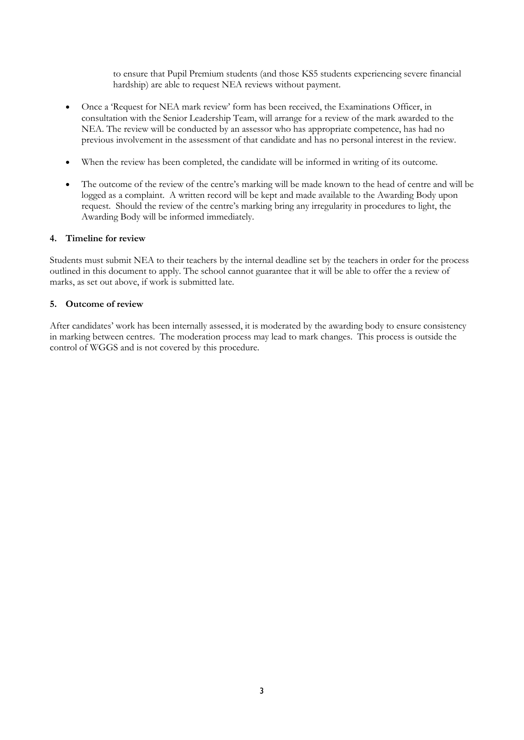to ensure that Pupil Premium students (and those KS5 students experiencing severe financial hardship) are able to request NEA reviews without payment.

- Once a 'Request for NEA mark review' form has been received, the Examinations Officer, in consultation with the Senior Leadership Team, will arrange for a review of the mark awarded to the NEA. The review will be conducted by an assessor who has appropriate competence, has had no previous involvement in the assessment of that candidate and has no personal interest in the review.
- When the review has been completed, the candidate will be informed in writing of its outcome.
- The outcome of the review of the centre's marking will be made known to the head of centre and will be logged as a complaint. A written record will be kept and made available to the Awarding Body upon request. Should the review of the centre's marking bring any irregularity in procedures to light, the Awarding Body will be informed immediately.

## **4. Timeline for review**

Students must submit NEA to their teachers by the internal deadline set by the teachers in order for the process outlined in this document to apply. The school cannot guarantee that it will be able to offer the a review of marks, as set out above, if work is submitted late.

## **5. Outcome of review**

After candidates' work has been internally assessed, it is moderated by the awarding body to ensure consistency in marking between centres. The moderation process may lead to mark changes. This process is outside the control of WGGS and is not covered by this procedure.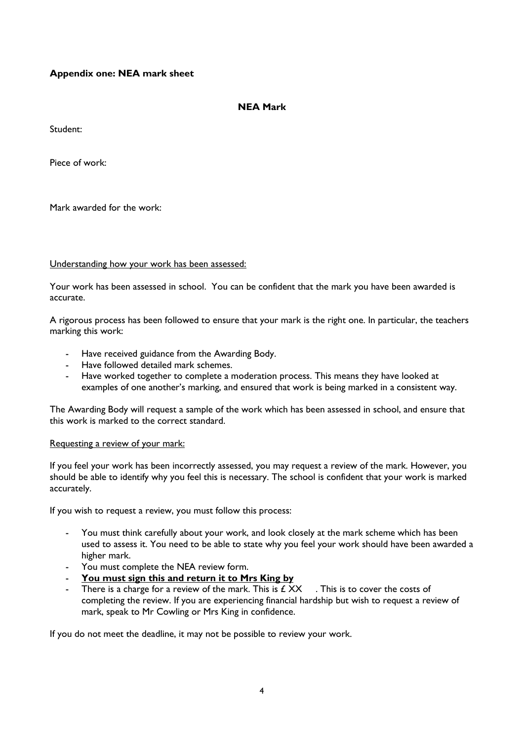## **Appendix one: NEA mark sheet**

## **NEA Mark**

Student:

Piece of work:

Mark awarded for the work:

## Understanding how your work has been assessed:

Your work has been assessed in school. You can be confident that the mark you have been awarded is accurate.

A rigorous process has been followed to ensure that your mark is the right one. In particular, the teachers marking this work:

- Have received guidance from the Awarding Body.
- Have followed detailed mark schemes.
- Have worked together to complete a moderation process. This means they have looked at examples of one another's marking, and ensured that work is being marked in a consistent way.

The Awarding Body will request a sample of the work which has been assessed in school, and ensure that this work is marked to the correct standard.

## Requesting a review of your mark:

If you feel your work has been incorrectly assessed, you may request a review of the mark. However, you should be able to identify why you feel this is necessary. The school is confident that your work is marked accurately.

If you wish to request a review, you must follow this process:

- You must think carefully about your work, and look closely at the mark scheme which has been used to assess it. You need to be able to state why you feel your work should have been awarded a higher mark.
- You must complete the NEA review form.
- **You must sign this and return it to Mrs King by**
- There is a charge for a review of the mark. This is  $f_{\text{XX}}$ . This is to cover the costs of completing the review. If you are experiencing financial hardship but wish to request a review of mark, speak to Mr Cowling or Mrs King in confidence.

If you do not meet the deadline, it may not be possible to review your work.